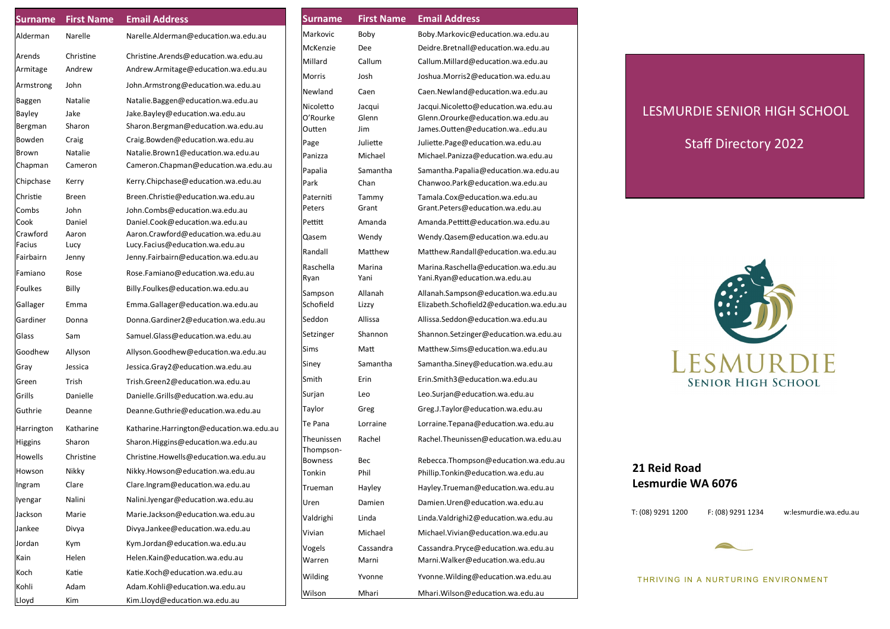| <b>Surname</b>            | <b>First Name</b> | <b>Email Address</b>                                                  |  |  |
|---------------------------|-------------------|-----------------------------------------------------------------------|--|--|
| Alderman                  | Narelle           | Narelle.Alderman@education.wa.edu.au                                  |  |  |
| Arends                    | Christine         | Christine.Arends@education.wa.edu.au                                  |  |  |
| Armitage                  | Andrew            | Andrew.Armitage@education.wa.edu.au                                   |  |  |
| Armstrong                 | John              | John.Armstrong@education.wa.edu.au                                    |  |  |
| Baggen                    | Natalie           | Natalie.Baggen@education.wa.edu.au                                    |  |  |
| Bayley                    | Jake              | Jake.Bayley@education.wa.edu.au                                       |  |  |
| Bergman                   | Sharon            | Sharon.Bergman@education.wa.edu.au                                    |  |  |
| Bowden                    | Craig             | Craig.Bowden@education.wa.edu.au                                      |  |  |
| Brown                     | Natalie           | Natalie.Brown1@education.wa.edu.au                                    |  |  |
| Chapman                   | Cameron           | Cameron.Chapman@education.wa.edu.au                                   |  |  |
| Chipchase                 | Kerry             | Kerry.Chipchase@education.wa.edu.au                                   |  |  |
| Christie                  | Breen             | Breen.Christie@education.wa.edu.au                                    |  |  |
| Combs                     | John              | John.Combs@education.wa.edu.au                                        |  |  |
| Cook                      | Daniel            | Daniel.Cook@education.wa.edu.au                                       |  |  |
| Crawford<br><b>Facius</b> | Aaron<br>Lucy     | Aaron.Crawford@education.wa.edu.au<br>Lucy.Facius@education.wa.edu.au |  |  |
| Fairbairn                 | Jenny             | Jenny.Fairbairn@education.wa.edu.au                                   |  |  |
| Famiano                   | Rose              | Rose.Famiano@education.wa.edu.au                                      |  |  |
| <b>Foulkes</b>            | Billy             | Billy.Foulkes@education.wa.edu.au                                     |  |  |
|                           | Emma              | Emma.Gallager@education.wa.edu.au                                     |  |  |
| Gallager                  |                   |                                                                       |  |  |
| Gardiner                  | Donna             | Donna.Gardiner2@education.wa.edu.au                                   |  |  |
| Glass                     | Sam               | Samuel.Glass@education.wa.edu.au                                      |  |  |
| Goodhew                   | Allyson           | Allyson.Goodhew@education.wa.edu.au                                   |  |  |
| Gray                      | Jessica           | Jessica.Gray2@education.wa.edu.au                                     |  |  |
| Green                     | Trish             | Trish.Green2@education.wa.edu.au                                      |  |  |
| Grills                    | Danielle          | Danielle.Grills@education.wa.edu.au                                   |  |  |
| Guthrie                   | Deanne            | Deanne.Guthrie@education.wa.edu.au                                    |  |  |
| Harrington                | Katharine         | Katharine.Harrington@education.wa.edu.au                              |  |  |
| <b>Higgins</b>            | Sharon            | Sharon.Higgins@education.wa.edu.au                                    |  |  |
| Howells                   | Christine         | Christine.Howells@education.wa.edu.au                                 |  |  |
| Howson                    | Nikky             | Nikky.Howson@education.wa.edu.au                                      |  |  |
| Ingram                    | Clare             | Clare.Ingram@education.wa.edu.au                                      |  |  |
| lyengar                   | Nalini            | Nalini.lyengar@education.wa.edu.au                                    |  |  |
| Jackson                   | Marie             | Marie.Jackson@education.wa.edu.au                                     |  |  |
| Jankee                    | Divya             | Divya.Jankee@education.wa.edu.au                                      |  |  |
| Jordan                    | Kym               | Kym.Jordan@education.wa.edu.au                                        |  |  |
| Kain                      | Helen             | Helen.Kain@education.wa.edu.au                                        |  |  |
| Koch                      | Katie             | Katie.Koch@education.wa.edu.au                                        |  |  |
| Kohli                     | Adam              | Adam.Kohli@education.wa.edu.au                                        |  |  |
| Lloyd                     | Kim               | Kim.Lloyd@education.wa.edu.au                                         |  |  |

| <b>Surname</b>              | <b>First Name</b> | <b>Email Address</b>                                                            |  |  |
|-----------------------------|-------------------|---------------------------------------------------------------------------------|--|--|
| Markovic                    | Boby              | Boby.Markovic@education.wa.edu.au                                               |  |  |
| McKenzie                    | Dee               | Deidre.Bretnall@education.wa.edu.au                                             |  |  |
| Millard                     | Callum            | Callum.Millard@education.wa.edu.au                                              |  |  |
| Morris                      | Josh              | Joshua.Morris2@education.wa.edu.au                                              |  |  |
| Newland                     | Caen              | Caen.Newland@education.wa.edu.au                                                |  |  |
| Nicoletto                   | Jacqui            | Jacqui.Nicoletto@education.wa.edu.au                                            |  |  |
| O'Rourke                    | Glenn             | Glenn.Orourke@education.wa.edu.au                                               |  |  |
| Outten                      | Jim               | James.Outten@education.waedu.au                                                 |  |  |
| Page                        | Juliette          | Juliette.Page@education.wa.edu.au                                               |  |  |
| Panizza                     | Michael           | Michael.Panizza@education.wa.edu.au                                             |  |  |
| Papalia                     | Samantha          | Samantha.Papalia@education.wa.edu.au                                            |  |  |
| Park                        | Chan              | Chanwoo.Park@education.wa.edu.au                                                |  |  |
| Paterniti<br>Peters         | Tammy<br>Grant    | Tamala.Cox@education.wa.edu.au<br>Grant.Peters@education.wa.edu.au              |  |  |
| Pettitt                     | Amanda            | Amanda.Pettitt@education.wa.edu.au                                              |  |  |
|                             |                   |                                                                                 |  |  |
| Qasem                       | Wendy             | Wendy.Qasem@education.wa.edu.au                                                 |  |  |
| Randall                     | Matthew           | Matthew.Randall@education.wa.edu.au                                             |  |  |
| Raschella                   | Marina            | Marina.Raschella@education.wa.edu.au                                            |  |  |
| Ryan                        | Yani              | Yani.Ryan@education.wa.edu.au                                                   |  |  |
| Sampson<br>Schofield        | Allanah<br>Lizzy  | Allanah.Sampson@education.wa.edu.au<br>Elizabeth.Schofield2@education.wa.edu.au |  |  |
| Seddon                      | Allissa           | Allissa.Seddon@education.wa.edu.au                                              |  |  |
| Setzinger                   | Shannon           | Shannon.Setzinger@education.wa.edu.au                                           |  |  |
| Sims                        | Matt              | Matthew.Sims@education.wa.edu.au                                                |  |  |
| Siney                       | Samantha          | Samantha.Siney@education.wa.edu.au                                              |  |  |
| Smith                       | Erin              | Erin.Smith3@education.wa.edu.au                                                 |  |  |
| Surjan                      | Leo               | Leo.Surjan@education.wa.edu.au                                                  |  |  |
| Taylor                      | Greg              | Greg.J.Taylor@education.wa.edu.au                                               |  |  |
| Te Pana                     | Lorraine          | Lorraine.Tepana@education.wa.edu.au                                             |  |  |
| Theunissen                  | Rachel            | Rachel.Theunissen@education.wa.edu.au                                           |  |  |
| Thompson-<br><b>Bowness</b> | Bec               | Rebecca.Thompson@education.wa.edu.au                                            |  |  |
| Tonkin                      | Phil              | Phillip.Tonkin@education.wa.edu.au                                              |  |  |
| Trueman                     | Hayley            | Hayley.Trueman@education.wa.edu.au                                              |  |  |
| Uren                        | Damien            | Damien.Uren@education.wa.edu.au                                                 |  |  |
| Valdrighi                   | Linda             | Linda.Valdrighi2@education.wa.edu.au                                            |  |  |
| Vivian                      | Michael           | Michael.Vivian@education.wa.edu.au                                              |  |  |
| Vogels                      | Cassandra         | Cassandra.Pryce@education.wa.edu.au                                             |  |  |
| Warren                      | Marni             | Marni. Walker@education.wa.edu.au                                               |  |  |
| Wilding                     | Yvonne            | Yvonne. Wilding@education.wa.edu.au                                             |  |  |
| Wilson                      | Mhari             | Mhari. Wilson@education.wa.edu.au                                               |  |  |

## LESMURDIE SENIOR HIGH SCHOOL

i

Staff Directory 2022



## **21 Reid Road Lesmurdie WA 6076**

T: (08) 9291 1200 F: (08) 9291 1234 w:lesmurdie.wa.edu.au

THRIVING IN A NURTURING ENVIRONMENT